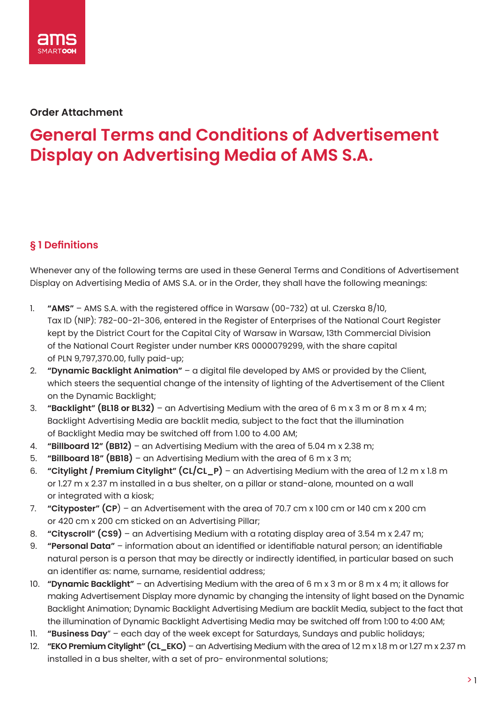

#### **Order Attachment**

# **General Terms and Conditions of Advertisement Display on Advertising Media of AMS S.A.**

#### **§ 1 Definitions**

Whenever any of the following terms are used in these General Terms and Conditions of Advertisement Display on Advertising Media of AMS S.A. or in the Order, they shall have the following meanings:

- 1. **"AMS"** AMS S.A. with the registered office in Warsaw (00-732) at ul. Czerska 8/10, Tax ID (NIP): 782-00-21-306, entered in the Register of Enterprises of the National Court Register kept by the District Court for the Capital City of Warsaw in Warsaw, 13th Commercial Division of the National Court Register under number KRS 0000079299, with the share capital of PLN 9,797,370.00, fully paid-up;
- 2. **"Dynamic Backlight Animation"** a digital file developed by AMS or provided by the Client, which steers the sequential change of the intensity of lighting of the Advertisement of the Client on the Dynamic Backlight;
- 3. **"Backlight" (BL18 or BL32)** an Advertising Medium with the area of 6 m x 3 m or 8 m x 4 m; Backlight Advertising Media are backlit media, subject to the fact that the illumination of Backlight Media may be switched off from 1.00 to 4.00 AM;
- 4. **"Billboard 12" (BB12)** an Advertising Medium with the area of 5.04 m x 2.38 m;
- 5. **"Billboard 18" (BB18)** an Advertising Medium with the area of 6 m x 3 m;
- 6. **"Citylight / Premium Citylight" (CL/CL\_P)** an Advertising Medium with the area of 1.2 m x 1.8 m or 1.27 m x 2.37 m installed in a bus shelter, on a pillar or stand-alone, mounted on a wall or integrated with a kiosk;
- 7. **"Cityposter" (CP**) an Advertisement with the area of 70.7 cm x 100 cm or 140 cm x 200 cm or 420 cm x 200 cm sticked on an Advertising Pillar;
- 8. **"Cityscroll" (CS9)** an Advertising Medium with a rotating display area of 3.54 m x 2.47 m;
- 9. **"Personal Data"** information about an identified or identifiable natural person; an identifiable natural person is a person that may be directly or indirectly identified, in particular based on such an identifier as: name, surname, residential address;
- 10. **"Dynamic Backlight"** an Advertising Medium with the area of 6 m x 3 m or 8 m x 4 m; it allows for making Advertisement Display more dynamic by changing the intensity of light based on the Dynamic Backlight Animation; Dynamic Backlight Advertising Medium are backlit Media, subject to the fact that the illumination of Dynamic Backlight Advertising Media may be switched off from 1:00 to 4:00 AM;
- 11. **"Business Day**" each day of the week except for Saturdays, Sundays and public holidays;
- 12. **"EKO Premium Citylight" (CL\_EKO)** an Advertising Medium with the area of 1.2 m x 1.8 m or 1.27 m x 2.37 m installed in a bus shelter, with a set of pro- environmental solutions;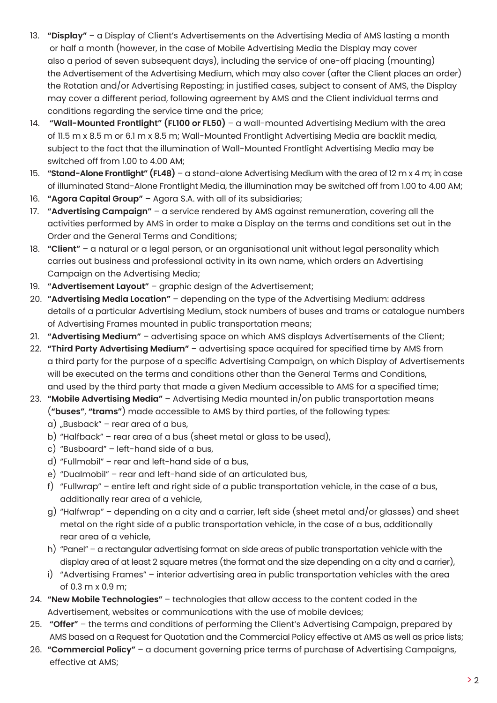- 13. **"Display"** a Display of Client's Advertisements on the Advertising Media of AMS lasting a month or half a month (however, in the case of Mobile Advertising Media the Display may cover also a period of seven subsequent days), including the service of one-off placing (mounting) the Advertisement of the Advertising Medium, which may also cover (after the Client places an order) the Rotation and/or Advertising Reposting; in justified cases, subject to consent of AMS, the Display may cover a different period, following agreement by AMS and the Client individual terms and conditions regarding the service time and the price;
- 14. **"Wall-Mounted Frontlight" (FL100 or FL50)** a wall-mounted Advertising Medium with the area of 11.5 m x 8.5 m or 6.1 m x 8.5 m; Wall-Mounted Frontlight Advertising Media are backlit media, subject to the fact that the illumination of Wall-Mounted Frontlight Advertising Media may be switched off from 1.00 to 4.00 AM;
- 15. **"Stand-Alone Frontlight" (FL48)** a stand-alone Advertising Medium with the area of 12 m x 4 m; in case of illuminated Stand-Alone Frontlight Media, the illumination may be switched off from 1.00 to 4.00 AM;
- 16. **"Agora Capital Group"** Agora S.A. with all of its subsidiaries;
- 17. **"Advertising Campaign"** a service rendered by AMS against remuneration, covering all the activities performed by AMS in order to make a Display on the terms and conditions set out in the Order and the General Terms and Conditions;
- 18. **"Client"** a natural or a legal person, or an organisational unit without legal personality which carries out business and professional activity in its own name, which orders an Advertising Campaign on the Advertising Media;
- 19. **"Advertisement Layout"** graphic design of the Advertisement;
- 20. **"Advertising Media Location"** depending on the type of the Advertising Medium: address details of a particular Advertising Medium, stock numbers of buses and trams or catalogue numbers of Advertising Frames mounted in public transportation means;
- 21. **"Advertising Medium"** advertising space on which AMS displays Advertisements of the Client;
- 22. **"Third Party Advertising Medium"** advertising space acquired for specified time by AMS from a third party for the purpose of a specific Advertising Campaign, on which Display of Advertisements will be executed on the terms and conditions other than the General Terms and Conditions, and used by the third party that made a given Medium accessible to AMS for a specified time;
- 23. **"Mobile Advertising Media"** Advertising Media mounted in/on public transportation means (**"buses"**, **"trams"**) made accessible to AMS by third parties, of the following types:
	- $a)$  "Busback" rear area of a bus,
	- b) "Halfback" rear area of a bus (sheet metal or alass to be used),
	- c) "Busboard" left-hand side of a bus,
	- d) "Fullmobil" rear and left-hand side of a bus,
	- e) "Dualmobil" rear and left-hand side of an articulated bus,
	- f) "Fullwrap" entire left and right side of a public transportation vehicle, in the case of a bus, additionally rear area of a vehicle,
	- g) "Halfwrap" depending on a city and a carrier, left side (sheet metal and/or glasses) and sheet metal on the right side of a public transportation vehicle, in the case of a bus, additionally rear area of a vehicle,
	- h) "Panel" a rectangular advertising format on side areas of public transportation vehicle with the display area of at least 2 square metres (the format and the size depending on a city and a carrier),
	- i) "Advertising Frames" interior advertising area in public transportation vehicles with the area of 0.3 m x 0.9 m;
- 24. **"New Mobile Technologies"**  technologies that allow access to the content coded in the Advertisement, websites or communications with the use of mobile devices;
- 25. **"Offer"** the terms and conditions of performing the Client's Advertising Campaign, prepared by AMS based on a Request for Quotation and the Commercial Policy effective at AMS as well as price lists;
- 26. **"Commercial Policy"** a document governing price terms of purchase of Advertising Campaigns, effective at AMS;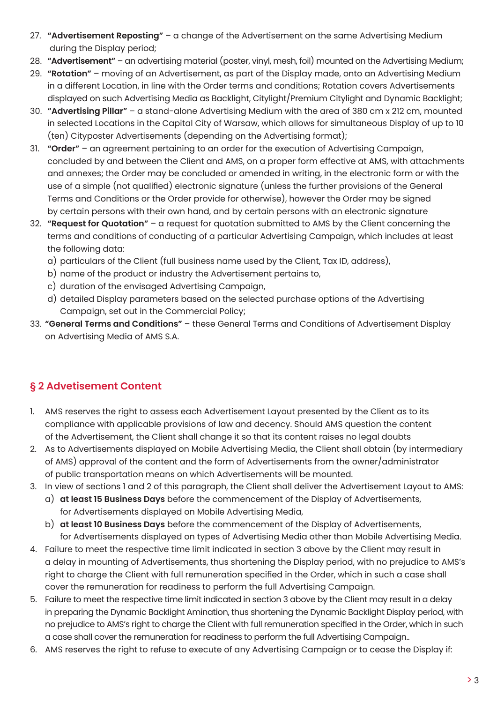- 27. **"Advertisement Reposting"** a change of the Advertisement on the same Advertising Medium during the Display period;
- 28. **"Advertisement"** an advertising material (poster, vinyl, mesh, foil) mounted on the Advertising Medium;
- 29. **"Rotation"** moving of an Advertisement, as part of the Display made, onto an Advertising Medium in a different Location, in line with the Order terms and conditions; Rotation covers Advertisements displayed on such Advertising Media as Backlight, Citylight/Premium Citylight and Dynamic Backlight;
- 30. **"Advertising Pillar"** a stand-alone Advertising Medium with the area of 380 cm x 212 cm, mounted in selected Locations in the Capital City of Warsaw, which allows for simultaneous Display of up to 10 (ten) Cityposter Advertisements (depending on the Advertising format);
- 31. **"Order"** an agreement pertaining to an order for the execution of Advertising Campaign, concluded by and between the Client and AMS, on a proper form effective at AMS, with attachments and annexes; the Order may be concluded or amended in writing, in the electronic form or with the use of a simple (not qualified) electronic signature (unless the further provisions of the General Terms and Conditions or the Order provide for otherwise), however the Order may be signed by certain persons with their own hand, and by certain persons with an electronic signature
- 32. **"Request for Quotation"** a request for quotation submitted to AMS by the Client concerning the terms and conditions of conducting of a particular Advertising Campaign, which includes at least the following data:
	- a) particulars of the Client (full business name used by the Client, Tax ID, address),
	- b) name of the product or industry the Advertisement pertains to,
	- c) duration of the envisaged Advertising Campaign,
	- d) detailed Display parameters based on the selected purchase options of the Advertising Campaign, set out in the Commercial Policy;
- 33. **"General Terms and Conditions"** these General Terms and Conditions of Advertisement Display on Advertising Media of AMS S.A.

## **§ 2 Advetisement Content**

- 1. AMS reserves the right to assess each Advertisement Layout presented by the Client as to its compliance with applicable provisions of law and decency. Should AMS question the content of the Advertisement, the Client shall change it so that its content raises no legal doubts
- 2. As to Advertisements displayed on Mobile Advertising Media, the Client shall obtain (by intermediary of AMS) approval of the content and the form of Advertisements from the owner/administrator of public transportation means on which Advertisements will be mounted.
- 3. In view of sections 1 and 2 of this paragraph, the Client shall deliver the Advertisement Layout to AMS:
	- a) **at least 15 Business Days** before the commencement of the Display of Advertisements, for Advertisements displayed on Mobile Advertising Media,
	- b) **at least 10 Business Days** before the commencement of the Display of Advertisements, for Advertisements displayed on types of Advertising Media other than Mobile Advertising Media.
- 4. Failure to meet the respective time limit indicated in section 3 above by the Client may result in a delay in mounting of Advertisements, thus shortening the Display period, with no prejudice to AMS's right to charge the Client with full remuneration specified in the Order, which in such a case shall cover the remuneration for readiness to perform the full Advertising Campaign.
- 5. Failure to meet the respective time limit indicated in section 3 above by the Client may result in a delay in preparing the Dynamic Backlight Amination, thus shortening the Dynamic Backlight Display period, with no prejudice to AMS's right to charge the Client with full remuneration specified in the Order, which in such a case shall cover the remuneration for readiness to perform the full Advertising Campaign..
- 6. AMS reserves the right to refuse to execute of any Advertising Campaign or to cease the Display if: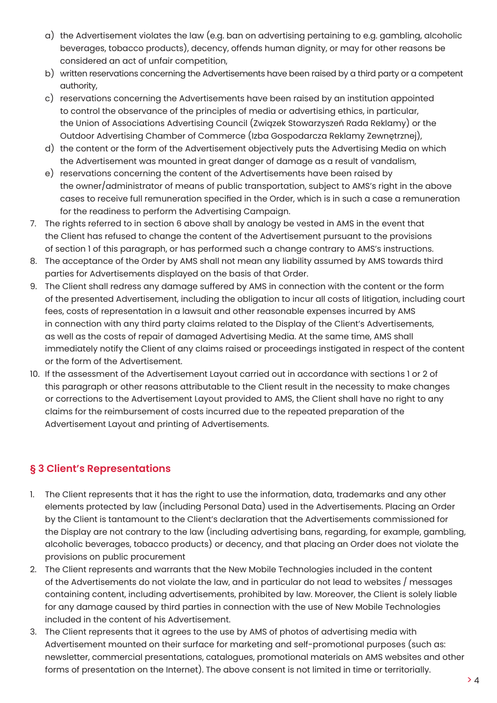- a) the Advertisement violates the law (e.g. ban on advertising pertaining to e.g. gambling, alcoholic beverages, tobacco products), decency, offends human dignity, or may for other reasons be considered an act of unfair competition,
- b) written reservations concerning the Advertisements have been raised by a third party or a competent authority,
- c) reservations concerning the Advertisements have been raised by an institution appointed to control the observance of the principles of media or advertising ethics, in particular, the Union of Associations Advertising Council (Związek Stowarzyszeń Rada Reklamy) or the Outdoor Advertising Chamber of Commerce (Izba Gospodarcza Reklamy Zewnętrznej),
- d) the content or the form of the Advertisement objectively puts the Advertising Media on which the Advertisement was mounted in great danger of damage as a result of vandalism,
- e) reservations concerning the content of the Advertisements have been raised by the owner/administrator of means of public transportation, subject to AMS's right in the above cases to receive full remuneration specified in the Order, which is in such a case a remuneration for the readiness to perform the Advertising Campaign.
- 7. The rights referred to in section 6 above shall by analogy be vested in AMS in the event that the Client has refused to change the content of the Advertisement pursuant to the provisions of section 1 of this paragraph, or has performed such a change contrary to AMS's instructions.
- 8. The acceptance of the Order by AMS shall not mean any liability assumed by AMS towards third parties for Advertisements displayed on the basis of that Order.
- 9. The Client shall redress any damage suffered by AMS in connection with the content or the form of the presented Advertisement, including the obligation to incur all costs of litigation, including court fees, costs of representation in a lawsuit and other reasonable expenses incurred by AMS in connection with any third party claims related to the Display of the Client's Advertisements, as well as the costs of repair of damaged Advertising Media. At the same time, AMS shall immediately notify the Client of any claims raised or proceedings instigated in respect of the content or the form of the Advertisement.
- 10. If the assessment of the Advertisement Layout carried out in accordance with sections 1 or 2 of this paragraph or other reasons attributable to the Client result in the necessity to make changes or corrections to the Advertisement Layout provided to AMS, the Client shall have no right to any claims for the reimbursement of costs incurred due to the repeated preparation of the Advertisement Layout and printing of Advertisements.

## **§ 3 Client's Representations**

- 1. The Client represents that it has the right to use the information, data, trademarks and any other elements protected by law (including Personal Data) used in the Advertisements. Placing an Order by the Client is tantamount to the Client's declaration that the Advertisements commissioned for the Display are not contrary to the law (including advertising bans, regarding, for example, gambling, alcoholic beverages, tobacco products) or decency, and that placing an Order does not violate the provisions on public procurement
- 2. The Client represents and warrants that the New Mobile Technologies included in the content of the Advertisements do not violate the law, and in particular do not lead to websites / messages containing content, including advertisements, prohibited by law. Moreover, the Client is solely liable for any damage caused by third parties in connection with the use of New Mobile Technologies included in the content of his Advertisement.
- 3. The Client represents that it agrees to the use by AMS of photos of advertising media with Advertisement mounted on their surface for marketing and self-promotional purposes (such as: newsletter, commercial presentations, catalogues, promotional materials on AMS websites and other forms of presentation on the Internet). The above consent is not limited in time or territorially.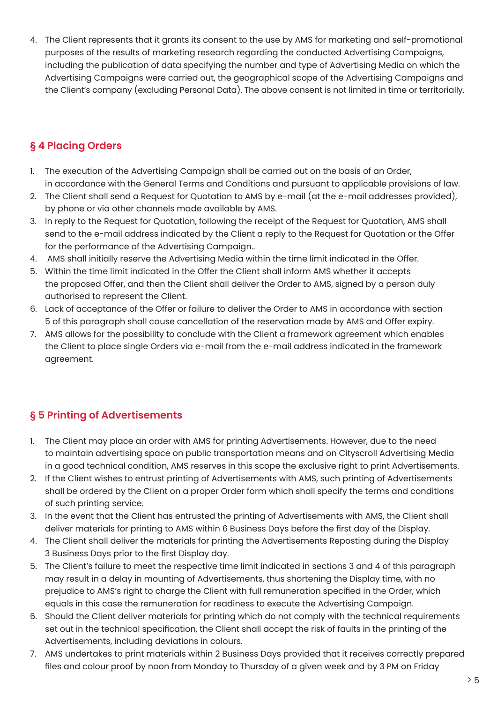4. The Client represents that it grants its consent to the use by AMS for marketing and self-promotional purposes of the results of marketing research regarding the conducted Advertising Campaigns, including the publication of data specifying the number and type of Advertising Media on which the Advertising Campaigns were carried out, the geographical scope of the Advertising Campaigns and the Client's company (excluding Personal Data). The above consent is not limited in time or territorially.

#### **§ 4 Placing Orders**

- 1. The execution of the Advertising Campaign shall be carried out on the basis of an Order, in accordance with the General Terms and Conditions and pursuant to applicable provisions of law.
- 2. The Client shall send a Request for Quotation to AMS by e-mail (at the e-mail addresses provided), by phone or via other channels made available by AMS.
- 3. In reply to the Request for Quotation, following the receipt of the Request for Quotation, AMS shall send to the e-mail address indicated by the Client a reply to the Request for Quotation or the Offer for the performance of the Advertising Campaign..
- 4. AMS shall initially reserve the Advertising Media within the time limit indicated in the Offer.
- 5. Within the time limit indicated in the Offer the Client shall inform AMS whether it accepts the proposed Offer, and then the Client shall deliver the Order to AMS, signed by a person duly authorised to represent the Client.
- 6. Lack of acceptance of the Offer or failure to deliver the Order to AMS in accordance with section 5 of this paragraph shall cause cancellation of the reservation made by AMS and Offer expiry.
- 7. AMS allows for the possibility to conclude with the Client a framework agreement which enables the Client to place single Orders via e-mail from the e-mail address indicated in the framework agreement.

## **§ 5 Printing of Advertisements**

- 1. The Client may place an order with AMS for printing Advertisements. However, due to the need to maintain advertising space on public transportation means and on Cityscroll Advertising Media in a good technical condition, AMS reserves in this scope the exclusive right to print Advertisements.
- 2. If the Client wishes to entrust printing of Advertisements with AMS, such printing of Advertisements shall be ordered by the Client on a proper Order form which shall specify the terms and conditions of such printing service.
- 3. In the event that the Client has entrusted the printing of Advertisements with AMS, the Client shall deliver materials for printing to AMS within 6 Business Days before the first day of the Display.
- 4. The Client shall deliver the materials for printing the Advertisements Reposting during the Display 3 Business Days prior to the first Display day.
- 5. The Client's failure to meet the respective time limit indicated in sections 3 and 4 of this paragraph may result in a delay in mounting of Advertisements, thus shortening the Display time, with no prejudice to AMS's right to charge the Client with full remuneration specified in the Order, which equals in this case the remuneration for readiness to execute the Advertising Campaign.
- 6. Should the Client deliver materials for printing which do not comply with the technical requirements set out in the technical specification, the Client shall accept the risk of faults in the printing of the Advertisements, including deviations in colours.
- 7. AMS undertakes to print materials within 2 Business Days provided that it receives correctly prepared files and colour proof by noon from Monday to Thursday of a given week and by 3 PM on Friday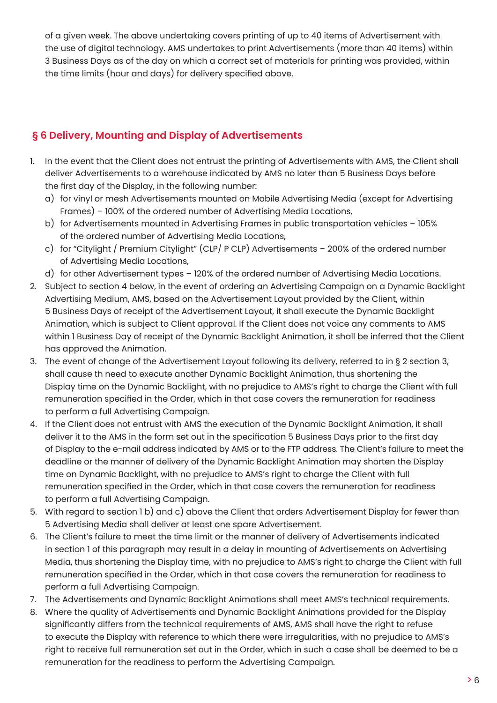of a given week. The above undertaking covers printing of up to 40 items of Advertisement with the use of digital technology. AMS undertakes to print Advertisements (more than 40 items) within 3 Business Days as of the day on which a correct set of materials for printing was provided, within the time limits (hour and days) for delivery specified above.

## **§ 6 Delivery, Mounting and Display of Advertisements**

- 1. In the event that the Client does not entrust the printing of Advertisements with AMS, the Client shall deliver Advertisements to a warehouse indicated by AMS no later than 5 Business Days before the first day of the Display, in the following number:
	- a) for vinyl or mesh Advertisements mounted on Mobile Advertising Media (except for Advertising Frames) – 100% of the ordered number of Advertising Media Locations,
	- b) for Advertisements mounted in Advertising Frames in public transportation vehicles 105% of the ordered number of Advertising Media Locations,
	- c) for "Citylight / Premium Citylight" (CLP/ P CLP) Advertisements 200% of the ordered number of Advertising Media Locations,
	- d) for other Advertisement types 120% of the ordered number of Advertising Media Locations.
- 2. Subject to section 4 below, in the event of ordering an Advertising Campaign on a Dynamic Backlight Advertising Medium, AMS, based on the Advertisement Layout provided by the Client, within 5 Business Days of receipt of the Advertisement Layout, it shall execute the Dynamic Backlight Animation, which is subject to Client approval. If the Client does not voice any comments to AMS within 1 Business Day of receipt of the Dynamic Backlight Animation, it shall be inferred that the Client has approved the Animation.
- 3. The event of change of the Advertisement Layout following its delivery, referred to in § 2 section 3, shall cause th need to execute another Dynamic Backlight Animation, thus shortening the Display time on the Dynamic Backlight, with no prejudice to AMS's right to charge the Client with full remuneration specified in the Order, which in that case covers the remuneration for readiness to perform a full Advertising Campaign.
- 4. If the Client does not entrust with AMS the execution of the Dynamic Backlight Animation, it shall deliver it to the AMS in the form set out in the specification 5 Business Days prior to the first day of Display to the e-mail address indicated by AMS or to the FTP address. The Client's failure to meet the deadline or the manner of delivery of the Dynamic Backlight Animation may shorten the Display time on Dynamic Backlight, with no prejudice to AMS's right to charge the Client with full remuneration specified in the Order, which in that case covers the remuneration for readiness to perform a full Advertising Campaign.
- 5. With regard to section 1 b) and c) above the Client that orders Advertisement Display for fewer than 5 Advertising Media shall deliver at least one spare Advertisement.
- 6. The Client's failure to meet the time limit or the manner of delivery of Advertisements indicated in section 1 of this paragraph may result in a delay in mounting of Advertisements on Advertising Media, thus shortening the Display time, with no prejudice to AMS's right to charge the Client with full remuneration specified in the Order, which in that case covers the remuneration for readiness to perform a full Advertising Campaign.
- 7. The Advertisements and Dynamic Backlight Animations shall meet AMS's technical requirements.
- 8. Where the quality of Advertisements and Dynamic Backlight Animations provided for the Display significantly differs from the technical requirements of AMS, AMS shall have the right to refuse to execute the Display with reference to which there were irregularities, with no prejudice to AMS's right to receive full remuneration set out in the Order, which in such a case shall be deemed to be a remuneration for the readiness to perform the Advertising Campaign.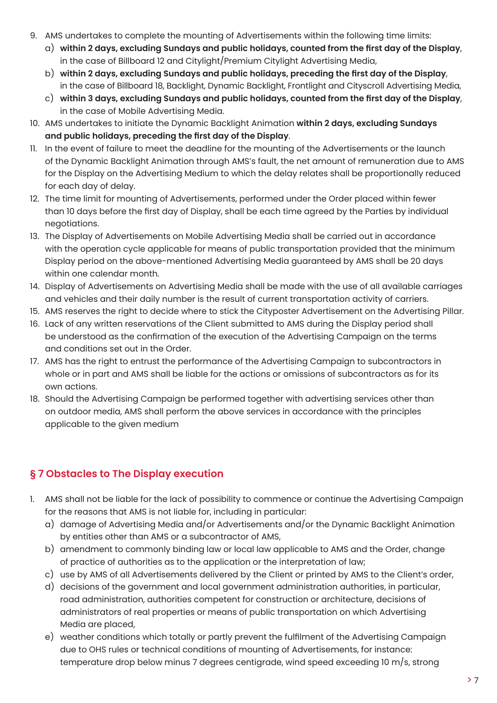- 9. AMS undertakes to complete the mounting of Advertisements within the following time limits:
	- a) **within 2 days, excluding Sundays and public holidays, counted from the first day of the Display**, in the case of Billboard 12 and Citylight/Premium Citylight Advertising Media,
	- b) **within 2 days, excluding Sundays and public holidays, preceding the first day of the Display**, in the case of Billboard 18, Backlight, Dynamic Backlight, Frontlight and Cityscroll Advertising Media,
	- c) **within 3 days, excluding Sundays and public holidays, counted from the first day of the Display**, in the case of Mobile Advertising Media.
- 10. AMS undertakes to initiate the Dynamic Backlight Animation **within 2 days, excluding Sundays and public holidays, preceding the first day of the Display**.
- 11. In the event of failure to meet the deadline for the mounting of the Advertisements or the launch of the Dynamic Backlight Animation through AMS's fault, the net amount of remuneration due to AMS for the Display on the Advertising Medium to which the delay relates shall be proportionally reduced for each day of delay.
- 12. The time limit for mounting of Advertisements, performed under the Order placed within fewer than 10 days before the first day of Display, shall be each time agreed by the Parties by individual negotiations.
- 13. The Display of Advertisements on Mobile Advertising Media shall be carried out in accordance with the operation cycle applicable for means of public transportation provided that the minimum Display period on the above-mentioned Advertising Media guaranteed by AMS shall be 20 days within one calendar month.
- 14. Display of Advertisements on Advertising Media shall be made with the use of all available carriages and vehicles and their daily number is the result of current transportation activity of carriers.
- 15. AMS reserves the right to decide where to stick the Cityposter Advertisement on the Advertising Pillar.
- 16. Lack of any written reservations of the Client submitted to AMS during the Display period shall be understood as the confirmation of the execution of the Advertising Campaign on the terms and conditions set out in the Order.
- 17. AMS has the right to entrust the performance of the Advertising Campaign to subcontractors in whole or in part and AMS shall be liable for the actions or omissions of subcontractors as for its own actions.
- 18. Should the Advertising Campaign be performed together with advertising services other than on outdoor media, AMS shall perform the above services in accordance with the principles applicable to the given medium

## **§ 7 Obstacles to The Display execution**

- 1. AMS shall not be liable for the lack of possibility to commence or continue the Advertising Campaign for the reasons that AMS is not liable for, including in particular:
	- a) damage of Advertising Media and/or Advertisements and/or the Dynamic Backlight Animation by entities other than AMS or a subcontractor of AMS,
	- b) amendment to commonly binding law or local law applicable to AMS and the Order, change of practice of authorities as to the application or the interpretation of law;
	- c) use by AMS of all Advertisements delivered by the Client or printed by AMS to the Client's order,
	- d) decisions of the government and local government administration authorities, in particular, road administration, authorities competent for construction or architecture, decisions of administrators of real properties or means of public transportation on which Advertising Media are placed,
	- e) weather conditions which totally or partly prevent the fulfilment of the Advertising Campaign due to OHS rules or technical conditions of mounting of Advertisements, for instance: temperature drop below minus 7 degrees centigrade, wind speed exceeding 10 m/s, strong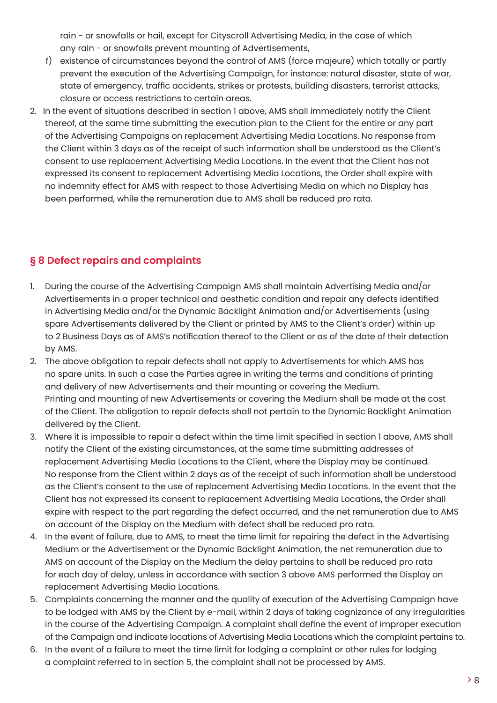rain - or snowfalls or hail, except for Cityscroll Advertising Media, in the case of which any rain - or snowfalls prevent mounting of Advertisements,

- f) existence of circumstances beyond the control of AMS (force majeure) which totally or partly prevent the execution of the Advertising Campaign, for instance: natural disaster, state of war, state of emergency, traffic accidents, strikes or protests, building disasters, terrorist attacks, closure or access restrictions to certain areas.
- 2. In the event of situations described in section 1 above, AMS shall immediately notify the Client thereof, at the same time submitting the execution plan to the Client for the entire or any part of the Advertising Campaigns on replacement Advertising Media Locations. No response from the Client within 3 days as of the receipt of such information shall be understood as the Client's consent to use replacement Advertising Media Locations. In the event that the Client has not expressed its consent to replacement Advertising Media Locations, the Order shall expire with no indemnity effect for AMS with respect to those Advertising Media on which no Display has been performed, while the remuneration due to AMS shall be reduced pro rata.

#### **§ 8 Defect repairs and complaints**

- 1. During the course of the Advertising Campaign AMS shall maintain Advertising Media and/or Advertisements in a proper technical and aesthetic condition and repair any defects identified in Advertising Media and/or the Dynamic Backlight Animation and/or Advertisements (using spare Advertisements delivered by the Client or printed by AMS to the Client's order) within up to 2 Business Days as of AMS's notification thereof to the Client or as of the date of their detection by AMS.
- 2. The above obligation to repair defects shall not apply to Advertisements for which AMS has no spare units. In such a case the Parties agree in writing the terms and conditions of printing and delivery of new Advertisements and their mounting or covering the Medium. Printing and mounting of new Advertisements or covering the Medium shall be made at the cost of the Client. The obligation to repair defects shall not pertain to the Dynamic Backlight Animation delivered by the Client.
- 3. Where it is impossible to repair a defect within the time limit specified in section 1 above, AMS shall notify the Client of the existing circumstances, at the same time submitting addresses of replacement Advertising Media Locations to the Client, where the Display may be continued. No response from the Client within 2 days as of the receipt of such information shall be understood as the Client's consent to the use of replacement Advertising Media Locations. In the event that the Client has not expressed its consent to replacement Advertising Media Locations, the Order shall expire with respect to the part regarding the defect occurred, and the net remuneration due to AMS on account of the Display on the Medium with defect shall be reduced pro rata.
- 4. In the event of failure, due to AMS, to meet the time limit for repairing the defect in the Advertising Medium or the Advertisement or the Dynamic Backlight Animation, the net remuneration due to AMS on account of the Display on the Medium the delay pertains to shall be reduced pro rata for each day of delay, unless in accordance with section 3 above AMS performed the Display on replacement Advertising Media Locations.
- 5. Complaints concerning the manner and the quality of execution of the Advertising Campaign have to be lodged with AMS by the Client by e-mail, within 2 days of taking cognizance of any irregularities in the course of the Advertising Campaign. A complaint shall define the event of improper execution of the Campaign and indicate locations of Advertising Media Locations which the complaint pertains to.
- 6. In the event of a failure to meet the time limit for lodging a complaint or other rules for lodging a complaint referred to in section 5, the complaint shall not be processed by AMS.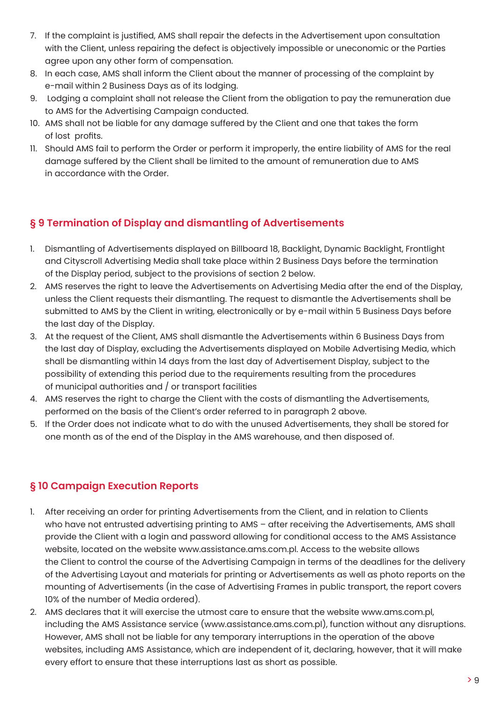- 7. If the complaint is justified, AMS shall repair the defects in the Advertisement upon consultation with the Client, unless repairing the defect is objectively impossible or uneconomic or the Parties agree upon any other form of compensation.
- 8. In each case, AMS shall inform the Client about the manner of processing of the complaint by e-mail within 2 Business Days as of its lodging.
- 9. Lodging a complaint shall not release the Client from the obligation to pay the remuneration due to AMS for the Advertising Campaign conducted.
- 10. AMS shall not be liable for any damage suffered by the Client and one that takes the form of lost profits.
- 11. Should AMS fail to perform the Order or perform it improperly, the entire liability of AMS for the real damage suffered by the Client shall be limited to the amount of remuneration due to AMS in accordance with the Order.

## **§ 9 Termination of Display and dismantling of Advertisements**

- 1. Dismantling of Advertisements displayed on Billboard 18, Backlight, Dynamic Backlight, Frontlight and Cityscroll Advertising Media shall take place within 2 Business Days before the termination of the Display period, subject to the provisions of section 2 below.
- 2. AMS reserves the right to leave the Advertisements on Advertising Media after the end of the Display, unless the Client requests their dismantling. The request to dismantle the Advertisements shall be submitted to AMS by the Client in writing, electronically or by e-mail within 5 Business Days before the last day of the Display.
- 3. At the request of the Client, AMS shall dismantle the Advertisements within 6 Business Days from the last day of Display, excluding the Advertisements displayed on Mobile Advertising Media, which shall be dismantling within 14 days from the last day of Advertisement Display, subject to the possibility of extending this period due to the requirements resulting from the procedures of municipal authorities and / or transport facilities
- 4. AMS reserves the right to charge the Client with the costs of dismantling the Advertisements, performed on the basis of the Client's order referred to in paragraph 2 above.
- 5. If the Order does not indicate what to do with the unused Advertisements, they shall be stored for one month as of the end of the Display in the AMS warehouse, and then disposed of.

## **§ 10 Campaign Execution Reports**

- 1. After receiving an order for printing Advertisements from the Client, and in relation to Clients who have not entrusted advertising printing to AMS – after receiving the Advertisements, AMS shall provide the Client with a login and password allowing for conditional access to the AMS Assistance website, located on the website www.assistance.ams.com.pl. Access to the website allows the Client to control the course of the Advertising Campaign in terms of the deadlines for the delivery of the Advertising Layout and materials for printing or Advertisements as well as photo reports on the mounting of Advertisements (in the case of Advertising Frames in public transport, the report covers 10% of the number of Media ordered).
- 2. AMS declares that it will exercise the utmost care to ensure that the website www.ams.com.pl, including the AMS Assistance service (www.assistance.ams.com.pl), function without any disruptions. However, AMS shall not be liable for any temporary interruptions in the operation of the above websites, including AMS Assistance, which are independent of it, declaring, however, that it will make every effort to ensure that these interruptions last as short as possible.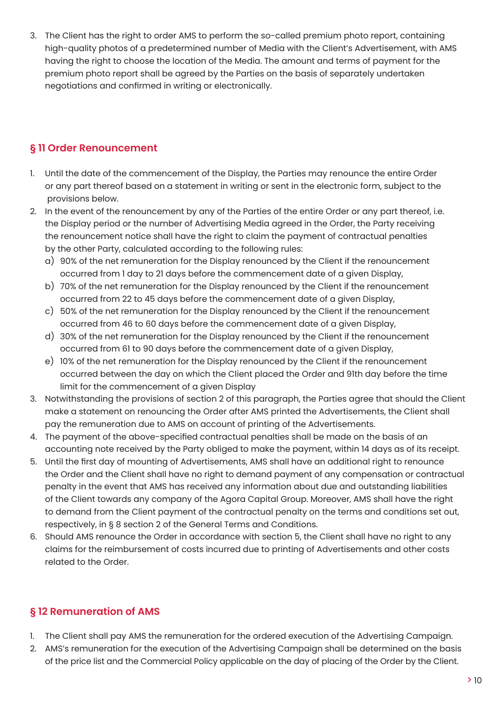3. The Client has the right to order AMS to perform the so-called premium photo report, containing high-quality photos of a predetermined number of Media with the Client's Advertisement, with AMS having the right to choose the location of the Media. The amount and terms of payment for the premium photo report shall be agreed by the Parties on the basis of separately undertaken negotiations and confirmed in writing or electronically.

#### **§ 11 Order Renouncement**

- 1. Until the date of the commencement of the Display, the Parties may renounce the entire Order or any part thereof based on a statement in writing or sent in the electronic form, subject to the provisions below.
- 2. In the event of the renouncement by any of the Parties of the entire Order or any part thereof, i.e. the Display period or the number of Advertising Media agreed in the Order, the Party receiving the renouncement notice shall have the right to claim the payment of contractual penalties by the other Party, calculated according to the following rules:
	- a) 90% of the net remuneration for the Display renounced by the Client if the renouncement occurred from 1 day to 21 days before the commencement date of a given Display,
	- b) 70% of the net remuneration for the Display renounced by the Client if the renouncement occurred from 22 to 45 days before the commencement date of a given Display,
	- c) 50% of the net remuneration for the Display renounced by the Client if the renouncement occurred from 46 to 60 days before the commencement date of a given Display,
	- d) 30% of the net remuneration for the Display renounced by the Client if the renouncement occurred from 61 to 90 days before the commencement date of a given Display,
	- e) 10% of the net remuneration for the Display renounced by the Client if the renouncement occurred between the day on which the Client placed the Order and 91th day before the time limit for the commencement of a given Display
- 3. Notwithstanding the provisions of section 2 of this paragraph, the Parties agree that should the Client make a statement on renouncing the Order after AMS printed the Advertisements, the Client shall pay the remuneration due to AMS on account of printing of the Advertisements.
- 4. The payment of the above-specified contractual penalties shall be made on the basis of an accounting note received by the Party obliged to make the payment, within 14 days as of its receipt.
- 5. Until the first day of mounting of Advertisements, AMS shall have an additional right to renounce the Order and the Client shall have no right to demand payment of any compensation or contractual penalty in the event that AMS has received any information about due and outstanding liabilities of the Client towards any company of the Agora Capital Group. Moreover, AMS shall have the right to demand from the Client payment of the contractual penalty on the terms and conditions set out, respectively, in § 8 section 2 of the General Terms and Conditions.
- 6. Should AMS renounce the Order in accordance with section 5, the Client shall have no right to any claims for the reimbursement of costs incurred due to printing of Advertisements and other costs related to the Order.

## **§ 12 Remuneration of AMS**

- 1. The Client shall pay AMS the remuneration for the ordered execution of the Advertising Campaign.
- 2. AMS's remuneration for the execution of the Advertising Campaign shall be determined on the basis of the price list and the Commercial Policy applicable on the day of placing of the Order by the Client.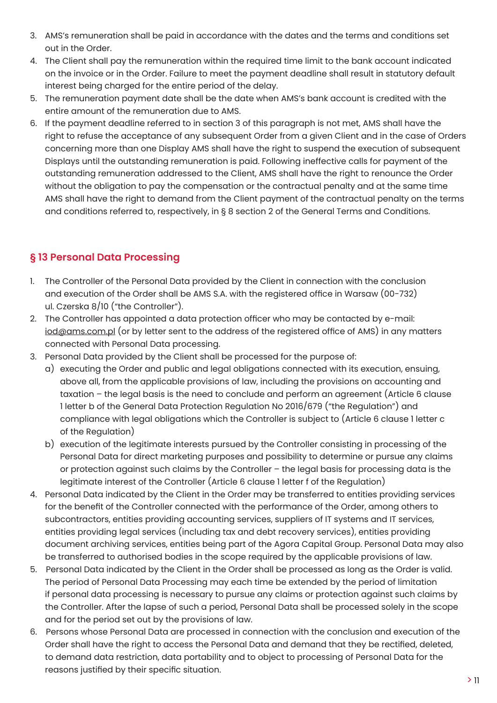- 3. AMS's remuneration shall be paid in accordance with the dates and the terms and conditions set out in the Order.
- 4. The Client shall pay the remuneration within the required time limit to the bank account indicated on the invoice or in the Order. Failure to meet the payment deadline shall result in statutory default interest being charged for the entire period of the delay.
- 5. The remuneration payment date shall be the date when AMS's bank account is credited with the entire amount of the remuneration due to AMS.
- 6. If the payment deadline referred to in section 3 of this paragraph is not met, AMS shall have the right to refuse the acceptance of any subsequent Order from a given Client and in the case of Orders concerning more than one Display AMS shall have the right to suspend the execution of subsequent Displays until the outstanding remuneration is paid. Following ineffective calls for payment of the outstanding remuneration addressed to the Client, AMS shall have the right to renounce the Order without the obligation to pay the compensation or the contractual penalty and at the same time AMS shall have the right to demand from the Client payment of the contractual penalty on the terms and conditions referred to, respectively, in § 8 section 2 of the General Terms and Conditions.

#### **§ 13 Personal Data Processing**

- 1. The Controller of the Personal Data provided by the Client in connection with the conclusion and execution of the Order shall be AMS S.A. with the registered office in Warsaw (00-732) ul. Czerska 8/10 ("the Controller").
- 2. The Controller has appointed a data protection officer who may be contacted by e-mail: iod@ams.com.pl (or by letter sent to the address of the registered office of AMS) in any matters connected with Personal Data processing.
- 3. Personal Data provided by the Client shall be processed for the purpose of:
	- a) executing the Order and public and legal obligations connected with its execution, ensuing, above all, from the applicable provisions of law, including the provisions on accounting and taxation – the legal basis is the need to conclude and perform an agreement (Article 6 clause 1 letter b of the General Data Protection Regulation No 2016/679 ("the Regulation") and compliance with legal obligations which the Controller is subject to (Article 6 clause 1 letter c of the Regulation)
	- b) execution of the legitimate interests pursued by the Controller consisting in processing of the Personal Data for direct marketing purposes and possibility to determine or pursue any claims or protection against such claims by the Controller – the legal basis for processing data is the legitimate interest of the Controller (Article 6 clause 1 letter f of the Regulation)
- 4. Personal Data indicated by the Client in the Order may be transferred to entities providing services for the benefit of the Controller connected with the performance of the Order, among others to subcontractors, entities providing accounting services, suppliers of IT systems and IT services, entities providing legal services (including tax and debt recovery services), entities providing document archiving services, entities being part of the Agora Capital Group. Personal Data may also be transferred to authorised bodies in the scope required by the applicable provisions of law.
- 5. Personal Data indicated by the Client in the Order shall be processed as long as the Order is valid. The period of Personal Data Processing may each time be extended by the period of limitation if personal data processing is necessary to pursue any claims or protection against such claims by the Controller. After the lapse of such a period, Personal Data shall be processed solely in the scope and for the period set out by the provisions of law.
- 6. Persons whose Personal Data are processed in connection with the conclusion and execution of the Order shall have the right to access the Personal Data and demand that they be rectified, deleted, to demand data restriction, data portability and to object to processing of Personal Data for the reasons justified by their specific situation.